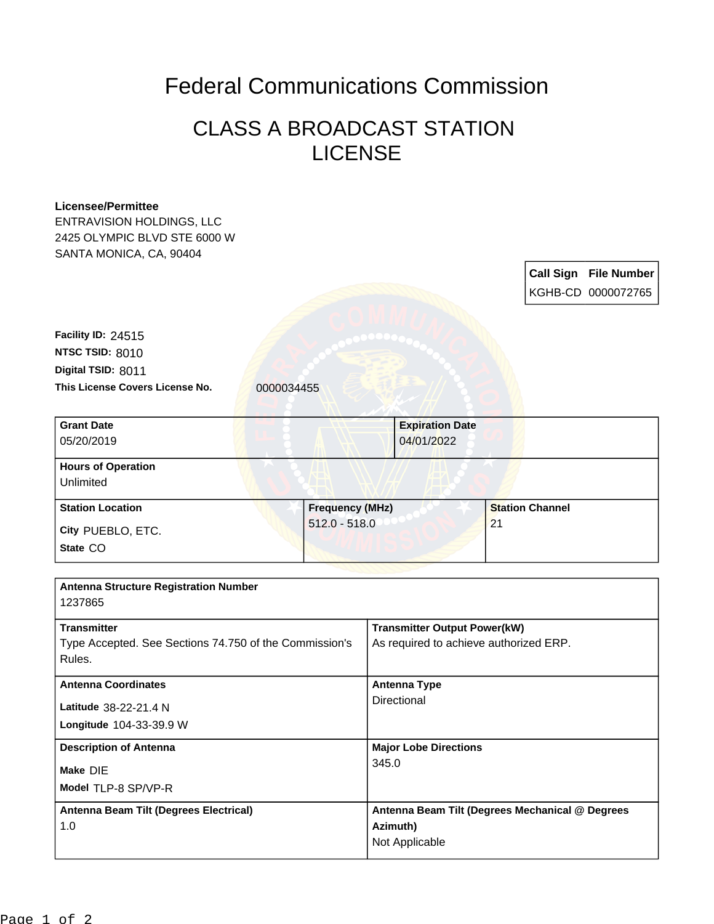## Federal Communications Commission

## CLASS A BROADCAST STATION LICENSE

| <b>Licensee/Permittee</b><br><b>ENTRAVISION HOLDINGS, LLC</b><br>2425 OLYMPIC BLVD STE 6000 W<br>SANTA MONICA, CA, 90404 |                 |                                                                               |                                                    |  |  |
|--------------------------------------------------------------------------------------------------------------------------|-----------------|-------------------------------------------------------------------------------|----------------------------------------------------|--|--|
|                                                                                                                          |                 |                                                                               | <b>Call Sign File Number</b><br>KGHB-CD 0000072765 |  |  |
| Facility ID: 24515                                                                                                       |                 |                                                                               |                                                    |  |  |
| NTSC TSID: 8010                                                                                                          |                 |                                                                               |                                                    |  |  |
| Digital TSID: 8011                                                                                                       |                 |                                                                               |                                                    |  |  |
| This License Covers License No.                                                                                          | 0000034455      |                                                                               |                                                    |  |  |
| <b>Grant Date</b><br>05/20/2019                                                                                          |                 | <b>Expiration Date</b><br>04/01/2022                                          |                                                    |  |  |
| <b>Hours of Operation</b><br>Unlimited                                                                                   |                 |                                                                               |                                                    |  |  |
| <b>Station Location</b>                                                                                                  | Frequency (MHz) |                                                                               | <b>Station Channel</b>                             |  |  |
| City PUEBLO, ETC.                                                                                                        | $512.0 - 518.0$ |                                                                               | 21                                                 |  |  |
| State CO                                                                                                                 |                 |                                                                               |                                                    |  |  |
| <b>Antenna Structure Registration Number</b><br>1237865                                                                  |                 |                                                                               |                                                    |  |  |
| <b>Transmitter</b><br>Type Accepted. See Sections 74.750 of the Commission's<br>Rules.                                   |                 | <b>Transmitter Output Power(kW)</b><br>As required to achieve authorized ERP. |                                                    |  |  |
| <b>Antenna Coordinates</b>                                                                                               |                 | <b>Antenna Type</b>                                                           |                                                    |  |  |
| Latitude 38-22-21.4 N                                                                                                    |                 | Directional                                                                   |                                                    |  |  |
| Longitude 104-33-39.9 W                                                                                                  |                 |                                                                               |                                                    |  |  |
| <b>Description of Antenna</b>                                                                                            |                 | <b>Major Lobe Directions</b>                                                  |                                                    |  |  |
| Make DIE                                                                                                                 |                 | 345.0                                                                         |                                                    |  |  |
| Model TLP-8 SP/VP-R                                                                                                      |                 |                                                                               |                                                    |  |  |
| Antenna Beam Tilt (Degrees Electrical)                                                                                   |                 |                                                                               | Antenna Beam Tilt (Degrees Mechanical @ Degrees    |  |  |
| 1.0                                                                                                                      |                 | Azimuth)<br>Not Applicable                                                    |                                                    |  |  |